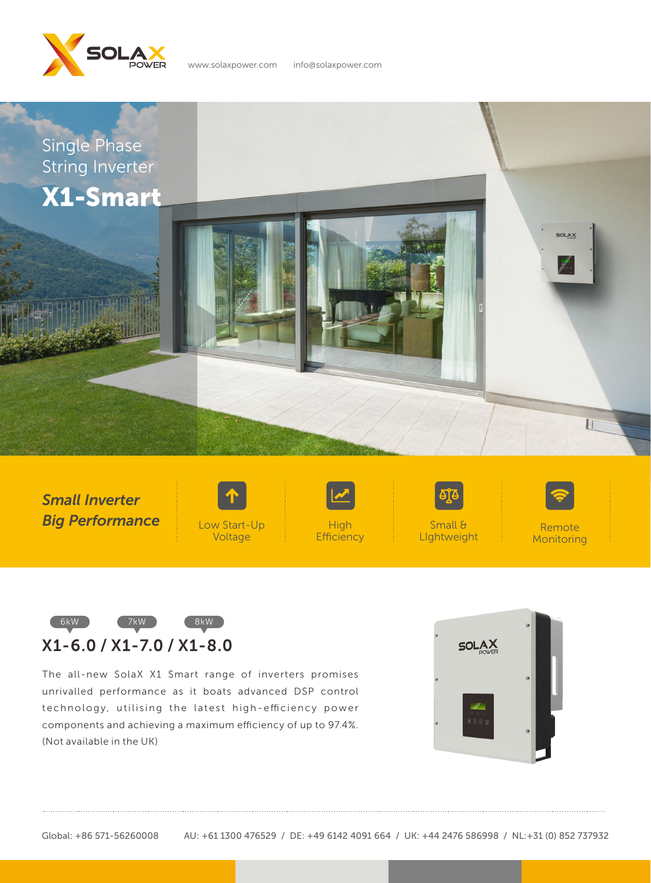

www.solaxpower.com info@solaxpower.com



*Small Inverter Big Performance*





**Efficiency** 

Small & LIghtweight



Remote **Monitoring** 



The all-new SolaX X1 Smart range of inverters promises unrivalled performance as it boats advanced DSP control technology, utilising the latest high-efficiency power components and achieving a maximum efficiency of up to 97.4%. (Not available in the UK)